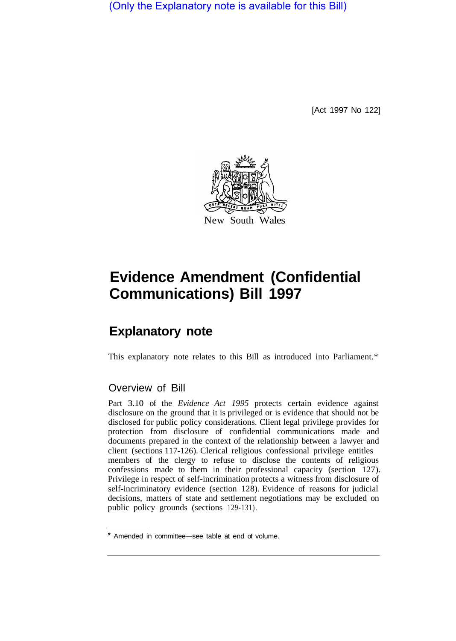(Only the Explanatory note is available for this Bill)

[Act 1997 No 122]



# **Evidence Amendment (Confidential Communications) Bill 1997**

## **Explanatory note**

This explanatory note relates to this Bill as introduced into Parliament.\*

### Overview of Bill

Part 3.10 of the *Evidence Act 1995* protects certain evidence against disclosure on the ground that it is privileged or is evidence that should not be disclosed for public policy considerations. Client legal privilege provides for protection from disclosure of confidential communications made and documents prepared in the context of the relationship between a lawyer and client (sections 117-126). Clerical religious confessional privilege entitles members of the clergy to refuse to disclose the contents of religious confessions made to them in their professional capacity (section 127). Privilege in respect of self-incrimination protects a witness from disclosure of self-incriminatory evidence (section 128). Evidence of reasons for judicial decisions, matters of state and settlement negotiations may be excluded on public policy grounds (sections 129-131).

Amended in committee—see table at end of volume.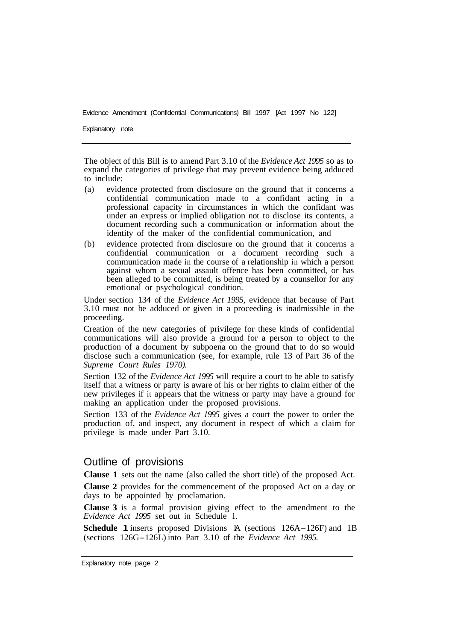Explanatory note

The object of this Bill is to amend Part 3.10 of the *Evidence Act 1995* so as to expand the categories of privilege that may prevent evidence being adduced to include:

- (a) evidence protected from disclosure on the ground that it concerns a confidential communication made to a confidant acting in a professional capacity in circumstances in which the confidant was under an express or implied obligation not to disclose its contents, a document recording such a communication or information about the identity of the maker of the confidential communication, and
- (b) evidence protected from disclosure on the ground that it concerns a confidential communication or a document recording such a communication made in the course of a relationship in which a person against whom a sexual assault offence has been committed, or has been alleged to be committed, is being treated by a counsellor for any emotional or psychological condition.

Under section 134 of the *Evidence Act 1995,* evidence that because of Part 3.10 must not be adduced or given in a proceeding is inadmissible in the proceeding.

Creation of the new categories of privilege for these kinds of confidential communications will also provide a ground for a person to object to the production of a document by subpoena on the ground that to do so would disclose such a communication (see, for example, rule 13 of Part 36 of the *Supreme Court Rules 1970).* 

Section 132 of the *Evidence Act 1995* will require a court to be able to satisfy itself that a witness or party is aware of his or her rights to claim either of the new privileges if it appears that the witness or party may have a ground for making an application under the proposed provisions.

Section 133 of the *Evidence Act 1995* gives a court the power to order the production of, and inspect, any document in respect of which a claim for privilege is made under Part 3.10.

#### Outline of provisions

**Clause 1** sets out the name (also called the short title) of the proposed Act.

**Clause 2** provides for the commencement of the proposed Act on a day or days to be appointed by proclamation.

**Clause 3** is a formal provision giving effect to the amendment to the *Evidence Act 1995* set out in Schedule 1.

**Schedule 1** inserts proposed Divisions A (sections 126A-126F) and 1B (sections 126G-126L) into Part 3.10 of the *Evidence Act 1995.*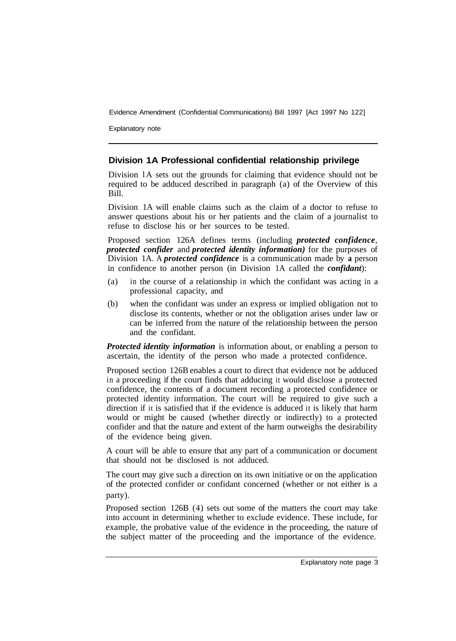Explanatory note

#### **Division 1A Professional confidential relationship privilege**

Division 1A sets out the grounds for claiming that evidence should not be required to be adduced described in paragraph (a) of the Overview of this Bill.

Division 1A will enable claims such as the claim of a doctor to refuse to answer questions about his or her patients and the claim of a journalist to refuse to disclose his or her sources to be tested.

Proposed section 126A defines terms (including *protected confidence*, *protected confider* and *protected identity information)* for the purposes of Division 1A. A *protected confidence* is a communication made by **a** person in confidence to another person (in Division 1A called the *confidant*):

- (a) in the course of a relationship in which the confidant was acting in a professional capacity, and
- (b) when the confidant was under an express or implied obligation not to disclose its contents, whether or not the obligation arises under law or can be inferred from the nature of the relationship between the person and the confidant.

*Protected identity information* is information about, or enabling a person to ascertain, the identity of the person who made a protected confidence.

Proposed section 126B enables a court to direct that evidence not be adduced in a proceeding if the court finds that adducing it would disclose a protected confidence, the contents of a document recording a protected confidence or protected identity information. The court will be required to give such a direction if it is satisfied that if the evidence is adduced it is likely that harm would or might be caused (whether directly or indirectly) to a protected confider and that the nature and extent of the harm outweighs the desirability of the evidence being given.

A court will be able to ensure that any part of a communication or document that should not be disclosed is not adduced.

The court may give such a direction on its own initiative or on the application of the protected confider or confidant concerned (whether or not either is a party).

Proposed section 126B (4) sets out some of the matters the court may take into account in determining whether to exclude evidence. These include, for example, the probative value of the evidence in the proceeding, the nature of the subject matter of the proceeding and the importance of the evidence.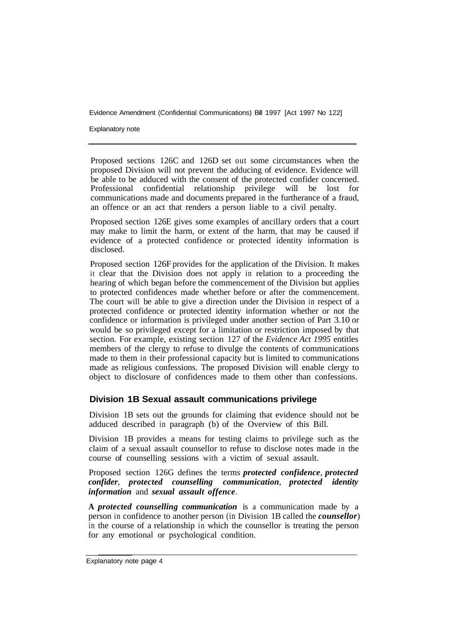Explanatory note

Proposed sections 126C and 126D set out some circumstances when the proposed Division will not prevent the adducing of evidence. Evidence will be able to be adduced with the consent of the protected confider concerned. Professional confidential relationship privilege will be lost for communications made and documents prepared in the furtherance of a fraud, an offence or an act that renders a person liable to a civil penalty.

Proposed section 126E gives some examples of ancillary orders that a court may make to limit the harm, or extent of the harm, that may be caused if evidence of a protected confidence or protected identity information is disclosed.

Proposed section 126F provides for the application of the Division. It makes it clear that the Division does not apply in relation to a proceeding the hearing of which began before the commencement of the Division but applies to protected confidences made whether before or after the commencement. The court will be able to give a direction under the Division in respect of a protected confidence or protected identity information whether or not the confidence or information is privileged under another section of Part 3.10 or would be so privileged except for a limitation or restriction imposed by that section. For example, existing section 127 of the *Evidence Act 1995* entitles members of the clergy to refuse to divulge the contents of communications made to them in their professional capacity but is limited to communications made as religious confessions. The proposed Division will enable clergy to object to disclosure of confidences made to them other than confessions.

#### **Division 1B Sexual assault communications privilege**

Division 1B sets out the grounds for claiming that evidence should not be adduced described in paragraph (b) of the Overview of this Bill.

Division 1B provides a means for testing claims to privilege such as the claim of a sexual assault counsellor to refuse to disclose notes made in the course of counselling sessions with a victim of sexual assault.

Proposed section 126G defines the terms *protected confidence*, *protected confider*, *protected counselling communication*, *protected identity information* and *sexual assault offence*.

**A** *protected counselling communication* is a communication made by a person in confidence to another person (in Division 1B called the *counsellor*) in the course of a relationship in which the counsellor is treating the person for any emotional or psychological condition.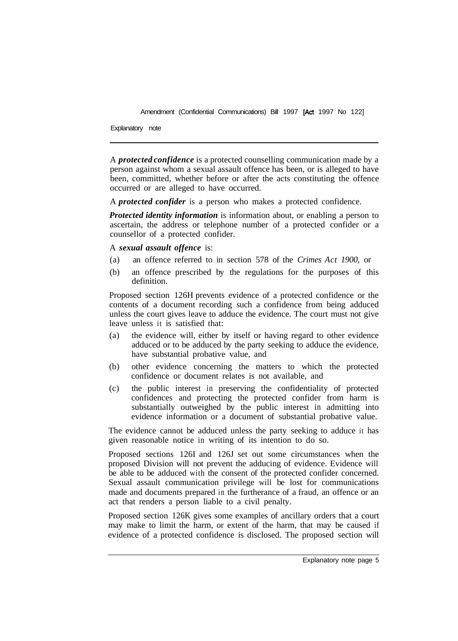Explanatory note

A *protected confidence* is a protected counselling communication made by a person against whom a sexual assault offence has been, or is alleged to have been, committed, whether before or after the acts constituting the offence occurred or are alleged to have occurred.

A *protected confider* is a person who makes a protected confidence.

*Protected identity information* is information about, or enabling a person to ascertain, the address or telephone number of a protected confider or a counsellor of a protected confider.

A *sexual assault offence* is:

- (a) an offence referred to in section 578 of the *Crimes Act 1900,* or
- (b) an offence prescribed by the regulations for the purposes of this definition.

Proposed section 126H prevents evidence of a protected confidence or the contents of a document recording such a confidence from being adduced unless the court gives leave to adduce the evidence. The court must not give leave unless it is satisfied that:

- (a) the evidence will, either by itself or having regard to other evidence adduced or to be adduced by the party seeking to adduce the evidence, have substantial probative value, and
- (b) other evidence concerning the matters to which the protected confidence or document relates is not available, and
- (c) the public interest in preserving the confidentiality of protected confidences and protecting the protected confider from harm is substantially outweighed by the public interest in admitting into evidence information or a document of substantial probative value.

The evidence cannot be adduced unless the party seeking to adduce it has given reasonable notice in writing of its intention to do so.

Proposed sections 126I and 126J set out some circumstances when the proposed Division will not prevent the adducing of evidence. Evidence will be able to be adduced with the consent of the protected confider concerned. Sexual assault communication privilege will be lost for communications made and documents prepared in the furtherance of a fraud, an offence or an act that renders a person liable to a civil penalty.

Proposed section 126K gives some examples of ancillary orders that a court may make to limit the harm, or extent of the harm, that may be caused if evidence of a protected confidence is disclosed. The proposed section will